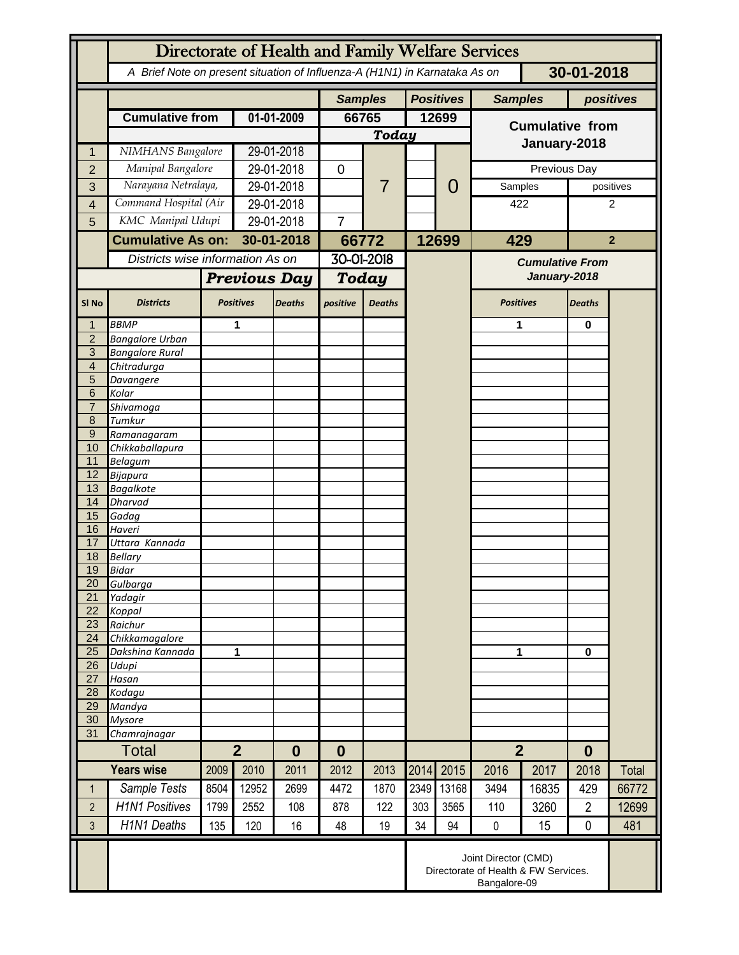|                     | Directorate of Health and Family Welfare Services                                        |                   |                                    |                |              |                |                  |                |                                        |                        |                |           |  |
|---------------------|------------------------------------------------------------------------------------------|-------------------|------------------------------------|----------------|--------------|----------------|------------------|----------------|----------------------------------------|------------------------|----------------|-----------|--|
|                     | A Brief Note on present situation of Influenza-A (H1N1) in Karnataka As on<br>30-01-2018 |                   |                                    |                |              |                |                  |                |                                        |                        |                |           |  |
|                     |                                                                                          |                   |                                    | <b>Samples</b> |              |                | <b>Positives</b> | <b>Samples</b> |                                        | positives              |                |           |  |
|                     | <b>Cumulative from</b>                                                                   |                   | 01-01-2009                         |                | 66765        |                | 12699            |                | <b>Cumulative from</b><br>January-2018 |                        |                |           |  |
|                     |                                                                                          |                   |                                    |                | Today        |                |                  |                |                                        |                        |                |           |  |
|                     | NIMHANS Bangalore                                                                        |                   | 29-01-2018                         |                |              | $\overline{7}$ |                  |                |                                        |                        |                |           |  |
| $\overline{2}$      | Manipal Bangalore                                                                        |                   | 29-01-2018                         |                | $\mathbf 0$  |                |                  | 0              | Previous Day                           |                        |                |           |  |
| 3                   | Narayana Netralaya,                                                                      |                   | 29-01-2018                         |                |              |                |                  |                | Samples                                |                        |                | positives |  |
| 4                   | Command Hospital (Air                                                                    |                   | 29-01-2018                         |                |              |                |                  |                | 422                                    |                        | 2              |           |  |
| 5                   |                                                                                          | KMC Manipal Udupi |                                    | 29-01-2018     |              |                |                  |                |                                        |                        |                |           |  |
|                     | <b>Cumulative As on:</b>                                                                 |                   |                                    | 30-01-2018     |              | 66772          |                  | 12699          | 429                                    |                        | $\overline{2}$ |           |  |
|                     | Districts wise information As on                                                         |                   |                                    |                | 30-01-2018   |                |                  |                |                                        | <b>Cumulative From</b> |                |           |  |
|                     |                                                                                          |                   | <b>Previous Day</b>                |                | <b>Today</b> |                |                  |                | January-2018                           |                        |                |           |  |
| SI <sub>No</sub>    | <b>Districts</b>                                                                         | <b>Positives</b>  |                                    | <b>Deaths</b>  | positive     | <b>Deaths</b>  |                  |                | <b>Positives</b>                       |                        | <b>Deaths</b>  |           |  |
|                     | <b>BBMP</b>                                                                              |                   | 1                                  |                |              |                |                  |                | 1                                      |                        | $\bf{0}$       |           |  |
| $\overline{2}$      | <b>Bangalore Urban</b>                                                                   |                   |                                    |                |              |                |                  |                |                                        |                        |                |           |  |
| $\overline{3}$      | <b>Bangalore Rural</b>                                                                   |                   |                                    |                |              |                |                  |                |                                        |                        |                |           |  |
| $\overline{4}$<br>5 | Chitradurga<br>Davangere                                                                 |                   |                                    |                |              |                |                  |                |                                        |                        |                |           |  |
| 6                   | Kolar                                                                                    |                   |                                    |                |              |                |                  |                |                                        |                        |                |           |  |
| $\overline{7}$      | Shivamoga                                                                                |                   |                                    |                |              |                |                  |                |                                        |                        |                |           |  |
| 8                   | Tumkur                                                                                   |                   |                                    |                |              |                |                  |                |                                        |                        |                |           |  |
| $\overline{9}$      | Ramanagaram                                                                              |                   |                                    |                |              |                |                  |                |                                        |                        |                |           |  |
| 10<br>11            | Chikkaballapura<br><b>Belagum</b>                                                        |                   |                                    |                |              |                |                  |                |                                        |                        |                |           |  |
| 12                  | <b>Bijapura</b>                                                                          |                   |                                    |                |              |                |                  |                |                                        |                        |                |           |  |
| 13                  | <b>Bagalkote</b>                                                                         |                   |                                    |                |              |                |                  |                |                                        |                        |                |           |  |
| 14                  | <b>Dharvad</b>                                                                           |                   |                                    |                |              |                |                  |                |                                        |                        |                |           |  |
| 15                  | Gadag                                                                                    |                   |                                    |                |              |                |                  |                |                                        |                        |                |           |  |
| 16<br>17            | Haveri<br>Uttara Kannada                                                                 |                   |                                    |                |              |                |                  |                |                                        |                        |                |           |  |
| 18                  | <b>Bellary</b>                                                                           |                   |                                    |                |              |                |                  |                |                                        |                        |                |           |  |
| 19                  | <b>Bidar</b>                                                                             |                   |                                    |                |              |                |                  |                |                                        |                        |                |           |  |
| 20                  | Gulbarga                                                                                 |                   |                                    |                |              |                |                  |                |                                        |                        |                |           |  |
| 21                  | Yadagir                                                                                  |                   |                                    |                |              |                |                  |                |                                        |                        |                |           |  |
| 22<br>23            | Koppal<br>Raichur                                                                        |                   |                                    |                |              |                |                  |                |                                        |                        |                |           |  |
| 24                  | Chikkamagalore                                                                           |                   |                                    |                |              |                |                  |                |                                        |                        |                |           |  |
| 25                  | Dakshina Kannada                                                                         | 1                 |                                    |                |              |                |                  |                | 1                                      |                        | $\mathbf 0$    |           |  |
| 26                  | Udupi                                                                                    |                   |                                    |                |              |                |                  |                |                                        |                        |                |           |  |
| 27                  | Hasan                                                                                    |                   |                                    |                |              |                |                  |                |                                        |                        |                |           |  |
| 28<br>29            | Kodagu<br>Mandya                                                                         |                   |                                    |                |              |                |                  |                |                                        |                        |                |           |  |
| 30                  | <b>Mysore</b>                                                                            |                   |                                    |                |              |                |                  |                |                                        |                        |                |           |  |
| 31                  | Chamrajnagar                                                                             |                   |                                    |                |              |                |                  |                |                                        |                        |                |           |  |
|                     | <b>Total</b>                                                                             |                   | $\overline{2}$<br>$\boldsymbol{0}$ |                | $\bf{0}$     |                |                  |                | $\overline{2}$                         |                        | $\bf{0}$       |           |  |
|                     | <b>Years wise</b>                                                                        | 2009              | 2010                               | 2011           | 2012         | 2013           | 2014             | 2015           | 2016                                   | 2017                   | 2018           | Total     |  |
| 1                   | Sample Tests                                                                             | 8504              | 12952                              | 2699           | 4472         | 1870           | 2349             | 13168          | 3494                                   | 16835                  | 429            | 66772     |  |
| $\overline{2}$      | <b>H1N1 Positives</b>                                                                    | 1799              | 2552                               | 108            | 878          | 122            | 303              | 3565           | 110                                    | 3260                   | $\overline{2}$ | 12699     |  |
| 3                   | <b>H1N1 Deaths</b>                                                                       | 135               | 120                                | 16             | 48           | 19             | 34               | 94             | $\pmb{0}$                              | 15                     | $\mathbf 0$    | 481       |  |
|                     | Joint Director (CMD)<br>Directorate of Health & FW Services.<br>Bangalore-09             |                   |                                    |                |              |                |                  |                |                                        |                        |                |           |  |